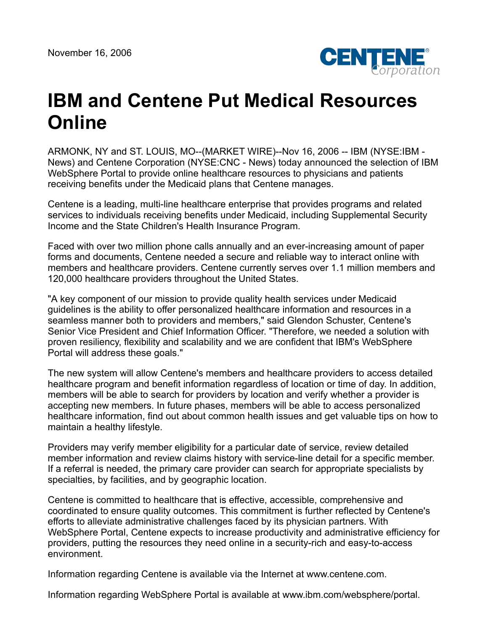

## **IBM and Centene Put Medical Resources Online**

ARMONK, NY and ST. LOUIS, MO--(MARKET WIRE)--Nov 16, 2006 -- IBM (NYSE:IBM - News) and Centene Corporation (NYSE:CNC - News) today announced the selection of IBM WebSphere Portal to provide online healthcare resources to physicians and patients receiving benefits under the Medicaid plans that Centene manages.

Centene is a leading, multi-line healthcare enterprise that provides programs and related services to individuals receiving benefits under Medicaid, including Supplemental Security Income and the State Children's Health Insurance Program.

Faced with over two million phone calls annually and an ever-increasing amount of paper forms and documents, Centene needed a secure and reliable way to interact online with members and healthcare providers. Centene currently serves over 1.1 million members and 120,000 healthcare providers throughout the United States.

"A key component of our mission to provide quality health services under Medicaid guidelines is the ability to offer personalized healthcare information and resources in a seamless manner both to providers and members," said Glendon Schuster, Centene's Senior Vice President and Chief Information Officer. "Therefore, we needed a solution with proven resiliency, flexibility and scalability and we are confident that IBM's WebSphere Portal will address these goals."

The new system will allow Centene's members and healthcare providers to access detailed healthcare program and benefit information regardless of location or time of day. In addition, members will be able to search for providers by location and verify whether a provider is accepting new members. In future phases, members will be able to access personalized healthcare information, find out about common health issues and get valuable tips on how to maintain a healthy lifestyle.

Providers may verify member eligibility for a particular date of service, review detailed member information and review claims history with service-line detail for a specific member. If a referral is needed, the primary care provider can search for appropriate specialists by specialties, by facilities, and by geographic location.

Centene is committed to healthcare that is effective, accessible, comprehensive and coordinated to ensure quality outcomes. This commitment is further reflected by Centene's efforts to alleviate administrative challenges faced by its physician partners. With WebSphere Portal, Centene expects to increase productivity and administrative efficiency for providers, putting the resources they need online in a security-rich and easy-to-access environment.

Information regarding Centene is available via the Internet at www.centene.com.

Information regarding WebSphere Portal is available at www.ibm.com/websphere/portal.